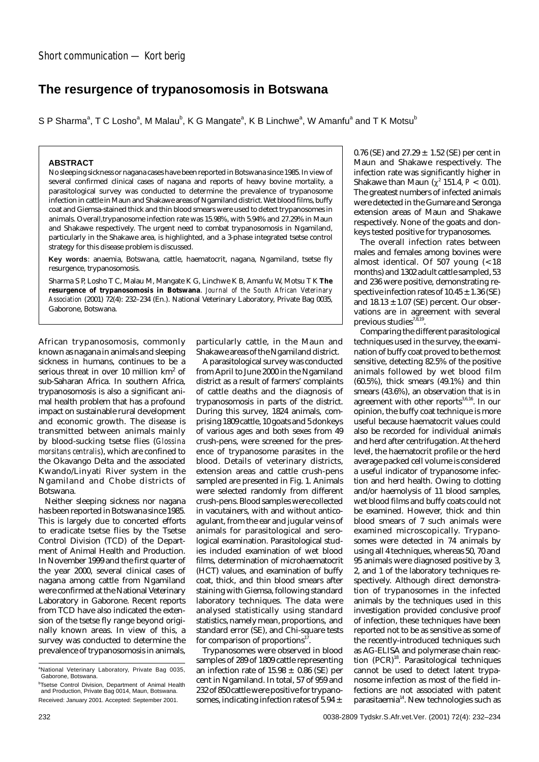## **The resurgence of trypanosomosis in Botswana**

S P Sharma $\degree$ , T C Losho $\degree$ , M Malau $\degree$ , K G Mangate $\degree$ , K B Linchwe $\degree$ , W Amanfu $\degree$  and T K Motsu $\degree$ 

## **ABSTRACT**

No sleeping sickness or nagana cases have been reported in Botswana since 1985. In view of several confirmed clinical cases of nagana and reports of heavy bovine mortality, a parasitological survey was conducted to determine the prevalence of trypanosome infection in cattle in Maun and Shakawe areas of Ngamiland district. Wet blood films, buffy coat and Giemsa-stained thick and thin blood smears were used to detect trypanosomes in animals. Overall,trypanosome infection rate was 15.98%, with 5.94% and 27.29% in Maun and Shakawe respectively. The urgent need to combat trypanosomosis in Ngamiland, particularly in the Shakawe area, is highlighted, and a 3-phase integrated tsetse control strategy for this disease problem is discussed.

**Key words**: anaemia, Botswana, cattle, haematocrit, nagana, Ngamiland, tsetse fly resurgence, trypanosomosis.

Sharma S P, Losho T C, Malau M, Mangate K G, Linchwe K B, Amanfu W, Motsu T K **The resurgence of trypanosomosis in Botswana**. *Journal of the South African Veterinary Association* (2001) 72(4): 232–234 (En.). National Veterinary Laboratory, Private Bag 0035, Gaborone, Botswana.

African trypanosomosis, commonly known as nagana in animals and sleeping sickness in humans, continues to be a serious threat in over 10 million km<sup>2</sup> of sub-Saharan Africa. In southern Africa, trypanosomosis is also a significant animal health problem that has a profound impact on sustainable rural development and economic growth. The disease is transmitted between animals mainly by blood-sucking tsetse flies (*Glossina morsitans centralis*), which are confined to the Okavango Delta and the associated Kwando/Linyati River system in the Ngamiland and Chobe districts of Botswana.

Neither sleeping sickness nor nagana has been reported in Botswana since 1985. This is largely due to concerted efforts to eradicate tsetse flies by the Tsetse Control Division (TCD) of the Department of Animal Health and Production. In November 1999 and the first quarter of the year 2000, several clinical cases of nagana among cattle from Ngamiland were confirmed at the National Veterinary Laboratory in Gaborone. Recent reports from TCD have also indicated the extension of the tsetse fly range beyond originally known areas. In view of this, a survey was conducted to determine the prevalence of trypanosomosis in animals,

particularly cattle, in the Maun and Shakawe areas of the Ngamiland district.

A parasitological survey was conducted from April to June 2000 in the Ngamiland district as a result of farmers' complaints of cattle deaths and the diagnosis of trypanosomosis in parts of the district. During this survey, 1824 animals, comprising 1809 cattle, 10 goats and 5 donkeys of various ages and both sexes from 49 crush-pens, were screened for the presence of trypanosome parasites in the blood. Details of veterinary districts, extension areas and cattle crush-pens sampled are presented in Fig. 1. Animals were selected randomly from different crush-pens. Blood samples were collected in vacutainers, with and without anticoagulant, from the ear and jugular veins of animals for parasitological and serological examination. Parasitological studies included examination of wet blood films, determination of microhaematocrit (HCT) values, and examination of buffy coat, thick, and thin blood smears after staining with Giemsa, following standard laboratory techniques. The data were analysed statistically using standard statistics, namely mean, proportions, and standard error (SE), and Chi-square tests for comparison of proportions<sup>17</sup>

Trypanosomes were observed in blood samples of 289 of 1809 cattle representing an infection rate of 15.98 ± 0.86 (SE*)* per cent in Ngamiland. In total, 57 of 959 and 232 of 850 cattle were positive for trypanosomes, indicating infection rates of 5.94  $\pm$ 

0.76 (SE) and 27.29  $\pm$  1.52 (SE) per cent in Maun and Shakawe respectively. The infection rate was significantly higher in Shakawe than Maun  $(x^2 151.4, P < 0.01)$ . The greatest numbers of infected animals were detected in the Gumare and Seronga extension areas of Maun and Shakawe respectively. None of the goats and donkeys tested positive for trypanosomes.

The overall infection rates between males and females among bovines were almost identical. Of 507 young (<18 months) and 1302 adult cattle sampled, 53 and 236 were positive, demonstrating respective infection rates of  $10.45 \pm 1.36$  (SE) and  $18.13 \pm 1.07$  (SE) percent. Our observations are in agreement with several previous studies $^{7,8,19}$ 

Comparing the different parasitological techniques used in the survey, the examination of buffy coat proved to be the most sensitive, detecting 82.5% of the positive animals followed by wet blood film (60.5%), thick smears (49.1%) and thin smears (43.6%), an observation that is in agreement with other reports<sup>3,6,16</sup>. In our opinion, the buffy coat technique is more useful because haematocrit values could also be recorded for individual animals and herd after centrifugation. At the herd level, the haematocrit profile or the herd average packed cell volume is considered a useful indicator of trypanosome infection and herd health. Owing to clotting and/or haemolysis of 11 blood samples, wet blood films and buffy coats could not be examined. However, thick and thin blood smears of 7 such animals were examined microscopically. Trypanosomes were detected in 74 animals by using all 4 techniques, whereas 50, 70 and 95 animals were diagnosed positive by 3, 2, and 1 of the laboratory techniques respectively. Although direct demonstration of trypanosomes in the infected animals by the techniques used in this investigation provided conclusive proof of infection, these techniques have been reported not to be as sensitive as some of the recently-introduced techniques such as AG-ELISA and polymerase chain reaction  $(PCR)^{18}$ . Parasitological techniques cannot be used to detect latent trypanosome infection as most of the field infections are not associated with patent parasitaemia<sup>14</sup>. New technologies such as

<sup>&</sup>lt;sup>a</sup>National Veterinary Laboratory, Private Bag 0035, Gaborone, Botswana.

b Tsetse Control Division, Department of Animal Health and Production, Private Bag 0014, Maun, Botswana. Received: January 2001. Accepted: September 2001.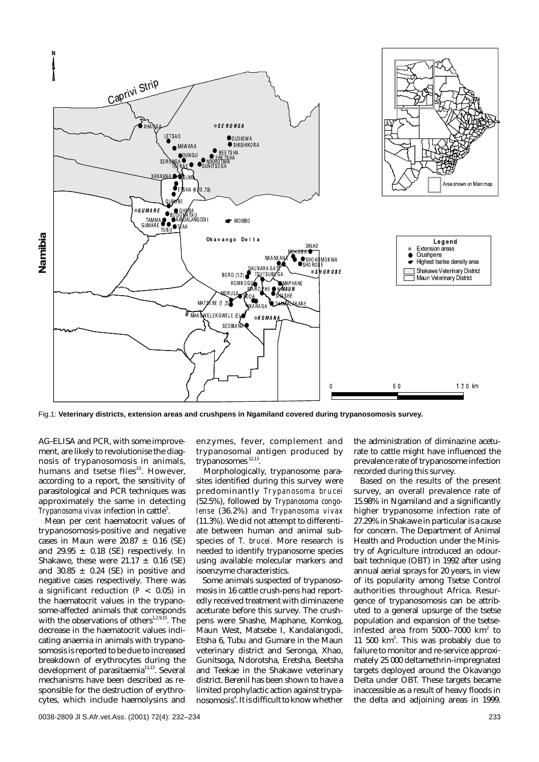

Fig.1: **Veterinary districts, extension areas and crushpens in Ngamiland covered during trypanosomosis survey.**

AG-ELISA and PCR, with some improvement, are likely to revolutionise the diagnosis of trypanosomosis in animals, humans and tsetse flies<sup>10</sup>. However, according to a report, the sensitivity of parasitological and PCR techniques was approximately the same in detecting Trypanosoma vivax infection in cattle<sup>5</sup>.

Mean per cent haematocrit values of trypanosomosis-positive and negative cases in Maun were  $20.87 \pm 0.16$  (SE) and 29.95  $\pm$  0.18 (SE) respectively. In Shakawe, these were  $21.17 \pm 0.16$  (SE) and 30.85  $\pm$  0.24 (SE) in positive and negative cases respectively. There was a significant reduction (*P* < 0.05) in the haematocrit values in the trypanosome-affected animals that corresponds with the observations of others $1,2,9,15$ . The decrease in the haematocrit values indicating anaemia in animals with trypanosomosis is reported to be due to increased breakdown of erythrocytes during the development of parasitaemia<sup>11,13</sup>. Several mechanisms have been described as responsible for the destruction of erythrocytes, which include haemolysins and

enzymes, fever, complement and trypanosomal antigen produced by trypanosomes<sup>12,13</sup>.

.Morphologically, trypanosome parasites identified during this survey were predominantly *Trypanosoma brucei* (52.5%), followed by *Trypanosoma congolense* (36.2%) and *Trypanosoma vivax* (11.3%). We did not attempt to differentiate between human and animal subspecies of *T. brucei.* More research is needed to identify trypanosome species using available molecular markers and isoenzyme characteristics.

Some animals suspected of trypanosomosis in 16 cattle crush-pens had reportedly received treatment with diminazene aceturate before this survey. The crushpens were Shashe, Maphane, Komkog, Maun West, Matsebe I, Kandalangodi, Etsha 6, Tubu and Gumare in the Maun veterinary district and Seronga, Xhao, Gunitsoga, Ndorotsha, Eretsha, Beetsha and Teekae in the Shakawe veterinary district. Berenil has been shown to have a limited prophylactic action against trypanosomosis<sup>4</sup>. It is difficult to know whether

the administration of diminazine aceturate to cattle might have influenced the prevalence rate of trypanosome infection recorded during this survey.

Based on the results of the present survey, an overall prevalence rate of 15.98% in Ngamiland and a significantly higher trypanosome infection rate of 27.29% in Shakawe in particular is a cause for concern. The Department of Animal Health and Production under the Ministry of Agriculture introduced an odourbait technique (OBT) in 1992 after using annual aerial sprays for 20 years, in view of its popularity among Tsetse Control authorities throughout Africa. Resurgence of trypanosomosis can be attributed to a general upsurge of the tsetse population and expansion of the tsetse- $\frac{1}{10}$  infested area from 5000–7000 km<sup>2</sup> to 11 500 km<sup>2</sup>. This was probably due to failure to monitor and re-service approximately 25 000 deltamethrin-impregnated targets deployed around the Okavango Delta under OBT. These targets became inaccessible as a result of heavy floods in the delta and adjoining areas in 1999.